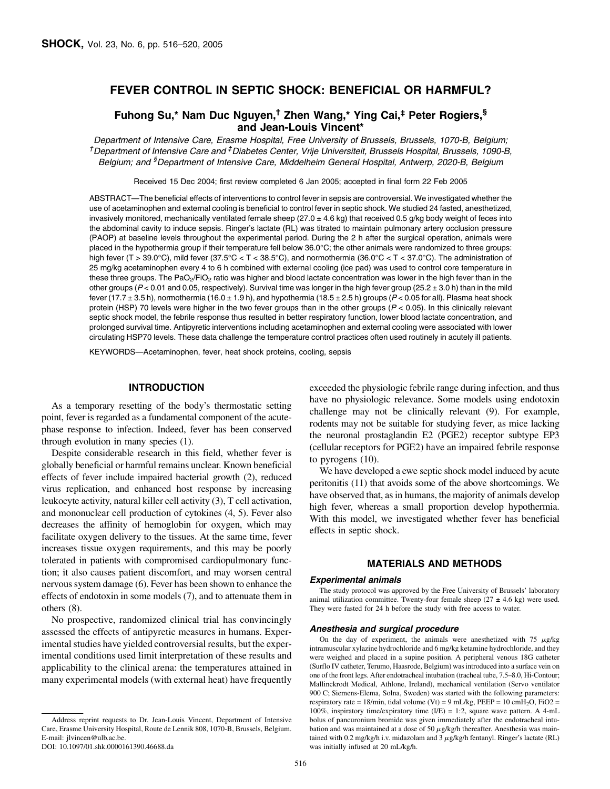# FEVER CONTROL IN SEPTIC SHOCK: BENEFICIAL OR HARMFUL?

# Fuhong Su,\* Nam Duc Nguyen,† Zhen Wang,\* Ying Cai,‡ Peter Rogiers,§ and Jean-Louis Vincent\*

Department of Intensive Care, Erasme Hospital, Free University of Brussels, Brussels, 1070-B, Belgium; <sup>†</sup> Department of Intensive Care and <sup>‡</sup> Diabetes Center, Vrije Universiteit, Brussels Hospital, Brussels, 1090-B, Belgium; and <sup>§</sup>Department of Intensive Care, Middelheim General Hospital, Antwerp, 2020-B, Belgium

Received 15 Dec 2004; first review completed 6 Jan 2005; accepted in final form 22 Feb 2005

ABSTRACT—The beneficial effects of interventions to control fever in sepsis are controversial. We investigated whether the use of acetaminophen and external cooling is beneficial to control fever in septic shock. We studied 24 fasted, anesthetized, invasively monitored, mechanically ventilated female sheep  $(27.0 \pm 4.6 \text{ kg})$  that received 0.5 g/kg body weight of feces into the abdominal cavity to induce sepsis. Ringer's lactate (RL) was titrated to maintain pulmonary artery occlusion pressure (PAOP) at baseline levels throughout the experimental period. During the 2 h after the surgical operation, animals were placed in the hypothermia group if their temperature fell below 36.0°C; the other animals were randomized to three groups: high fever (T > 39.0°C), mild fever (37.5°C < T < 38.5°C), and normothermia (36.0°C < T < 37.0°C). The administration of 25 mg/kg acetaminophen every 4 to 6 h combined with external cooling (ice pad) was used to control core temperature in these three groups. The PaO<sub>2</sub>/FiO<sub>2</sub> ratio was higher and blood lactate concentration was lower in the high fever than in the other groups ( $P < 0.01$  and 0.05, respectively). Survival time was longer in the high fever group ( $25.2 \pm 3.0$  h) than in the mild fever (17.7  $\pm$  3.5 h), normothermia (16.0  $\pm$  1.9 h), and hypothermia (18.5  $\pm$  2.5 h) groups (P < 0.05 for all). Plasma heat shock protein (HSP) 70 levels were higher in the two fever groups than in the other groups  $(P < 0.05)$ . In this clinically relevant septic shock model, the febrile response thus resulted in better respiratory function, lower blood lactate concentration, and prolonged survival time. Antipyretic interventions including acetaminophen and external cooling were associated with lower circulating HSP70 levels. These data challenge the temperature control practices often used routinely in acutely ill patients.

KEYWORDS—Acetaminophen, fever, heat shock proteins, cooling, sepsis

## INTRODUCTION

As a temporary resetting of the body's thermostatic setting point, fever is regarded as a fundamental component of the acutephase response to infection. Indeed, fever has been conserved through evolution in many species (1).

Despite considerable research in this field, whether fever is globally beneficial or harmful remains unclear. Known beneficial effects of fever include impaired bacterial growth (2), reduced virus replication, and enhanced host response by increasing leukocyte activity, natural killer cell activity (3), T cell activation, and mononuclear cell production of cytokines (4, 5). Fever also decreases the affinity of hemoglobin for oxygen, which may facilitate oxygen delivery to the tissues. At the same time, fever increases tissue oxygen requirements, and this may be poorly tolerated in patients with compromised cardiopulmonary function; it also causes patient discomfort, and may worsen central nervous system damage (6). Fever has been shown to enhance the effects of endotoxin in some models (7), and to attenuate them in others (8).

No prospective, randomized clinical trial has convincingly assessed the effects of antipyretic measures in humans. Experimental studies have yielded controversial results, but the experimental conditions used limit interpretation of these results and applicability to the clinical arena: the temperatures attained in many experimental models (with external heat) have frequently exceeded the physiologic febrile range during infection, and thus have no physiologic relevance. Some models using endotoxin challenge may not be clinically relevant (9). For example, rodents may not be suitable for studying fever, as mice lacking the neuronal prostaglandin E2 (PGE2) receptor subtype EP3 (cellular receptors for PGE2) have an impaired febrile response to pyrogens (10).

We have developed a ewe septic shock model induced by acute peritonitis (11) that avoids some of the above shortcomings. We have observed that, as in humans, the majority of animals develop high fever, whereas a small proportion develop hypothermia. With this model, we investigated whether fever has beneficial effects in septic shock.

# MATERIALS AND METHODS

#### Experimental animals

The study protocol was approved by the Free University of Brussels' laboratory animal utilization committee. Twenty-four female sheep  $(27 \pm 4.6 \text{ kg})$  were used. They were fasted for 24 h before the study with free access to water.

### Anesthesia and surgical procedure

On the day of experiment, the animals were anesthetized with  $75 \mu g/kg$ intramuscular xylazine hydrochloride and 6 mg/kg ketamine hydrochloride, and they were weighed and placed in a supine position. A peripheral venous 18G catheter (Surflo IV catheter, Terumo, Haasrode, Belgium) was introduced into a surface vein on one of the front legs. After endotracheal intubation (tracheal tube, 7.5–8.0, Hi-Contour; Mallinckrodt Medical, Athlone, Ireland), mechanical ventilation (Servo ventilator 900 C; Siemens-Elema, Solna, Sweden) was started with the following parameters: respiratory rate = 18/min, tidal volume (Vt) = 9 mL/kg, PEEP = 10 cmH<sub>2</sub>O, FiO2 = 100%, inspiratory time/expiratory time (I/E) = 1:2, square wave pattern. A 4-mL bolus of pancuronium bromide was given immediately after the endotracheal intubation and was maintained at a dose of 50  $\mu$ g/kg/h thereafter. Anesthesia was maintained with 0.2 mg/kg/h i.v. midazolam and 3  $\mu$ g/kg/h fentanyl. Ringer's lactate (RL) was initially infused at 20 mL/kg/h.

Address reprint requests to Dr. Jean-Louis Vincent, Department of Intensive Care, Erasme University Hospital, Route de Lennik 808, 1070-B, Brussels, Belgium. E-mail: jlvincen@ulb.ac.be.

DOI: 10.1097/01.shk.0000161390.46688.da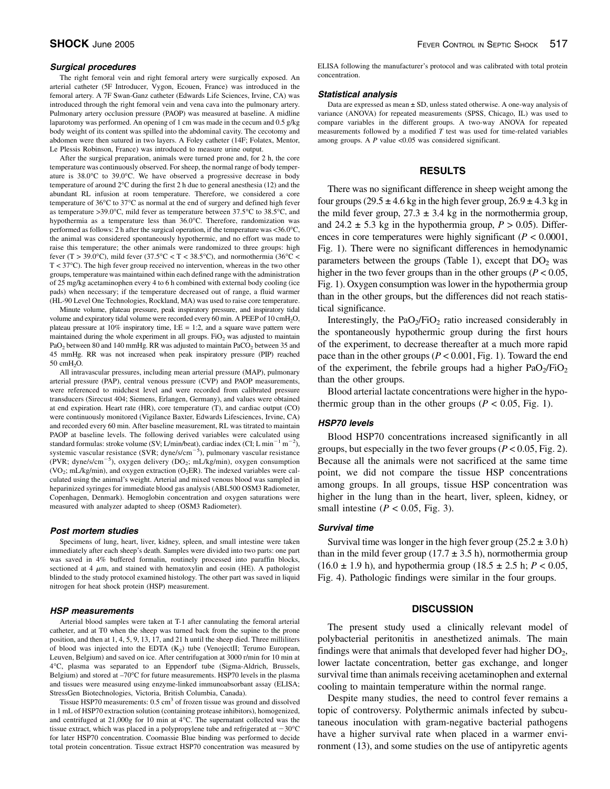### Surgical procedures

The right femoral vein and right femoral artery were surgically exposed. An arterial catheter (5F Introducer, Vygon, Ecouen, France) was introduced in the femoral artery. A 7F Swan-Ganz catheter (Edwards Life Sciences, Irvine, CA) was introduced through the right femoral vein and vena cava into the pulmonary artery. Pulmonary artery occlusion pressure (PAOP) was measured at baseline. A midline laparotomy was performed. An opening of 1 cm was made in the cecum and 0.5 g/kg body weight of its content was spilled into the abdominal cavity. The cecotomy and abdomen were then sutured in two layers. A Foley catheter (14F; Folatex, Mentor, Le Plessis Robinson, France) was introduced to measure urine output.

After the surgical preparation, animals were turned prone and, for 2 h, the core temperature was continuously observed. For sheep, the normal range of body temperature is  $38.0^{\circ}$ C to  $39.0^{\circ}$ C. We have observed a progressive decrease in body temperature of around  $2^{\circ}$ C during the first 2 h due to general anesthesia (12) and the abundant RL infusion at room temperature. Therefore, we considered a core temperature of 36°C to 37°C as normal at the end of surgery and defined high fever as temperature >39.0°C, mild fever as temperature between  $37.5^{\circ}$ C to  $38.5^{\circ}$ C, and hypothermia as a temperature less than 36.0°C. Therefore, randomization was performed as follows: 2 h after the surgical operation, if the temperature was <36.0°C, the animal was considered spontaneously hypothermic, and no effort was made to raise this temperature; the other animals were randomized to three groups: high fever (T > 39.0 °C), mild fever (37.5 °C < T < 38.5 °C), and normothermia (36 °C <  $T < 37^{\circ}$ C). The high fever group received no intervention, whereas in the two other groups, temperature was maintained within each defined range with the administration of 25 mg/kg acetaminophen every 4 to 6 h combined with external body cooling (ice pads) when necessary; if the temperature decreased out of range, a fluid warmer (HL-90 Level One Technologies, Rockland, MA) was used to raise core temperature.

Minute volume, plateau pressure, peak inspiratory pressure, and inspiratory tidal volume and expiratory tidal volume were recorded every 60 min. A PEEP of 10 cmH2O, plateau pressure at 10% inspiratory time, I: $E = 1:2$ , and a square wave pattern were maintained during the whole experiment in all groups.  $FiO<sub>2</sub>$  was adjusted to maintain PaO<sub>2</sub> between 80 and 140 mmHg. RR was adjusted to maintain PaCO<sub>2</sub> between 35 and 45 mmHg. RR was not increased when peak inspiratory pressure (PIP) reached 50 cmH2O.

All intravascular pressures, including mean arterial pressure (MAP), pulmonary arterial pressure (PAP), central venous pressure (CVP) and PAOP measurements, were referenced to midchest level and were recorded from calibrated pressure transducers (Sirecust 404; Siemens, Erlangen, Germany), and values were obtained at end expiration. Heart rate (HR), core temperature (T), and cardiac output (CO) were continuously monitored (Vigilance Baxter, Edwards Lifesciences, Irvine, CA) and recorded every 60 min. After baseline measurement, RL was titrated to maintain PAOP at baseline levels. The following derived variables were calculated using standard formulas: stroke volume (SV; L/min/beat), cardiac index (CI; L min<sup>-1</sup> m<sup>-2</sup>), systemic vascular resistance (SVR; dyne/s/cm<sup> $-5$ </sup>), pulmonary vascular resistance (PVR; dyne/s/cm<sup>-5</sup>), oxygen delivery (DO<sub>2</sub>; mL/kg/min), oxygen consumption (VO<sub>2</sub>; mL/kg/min), and oxygen extraction (O<sub>2</sub>ER). The indexed variables were calculated using the animal's weight. Arterial and mixed venous blood was sampled in heparinized syringes for immediate blood gas analysis (ABL500 OSM3 Radiometer, Copenhagen, Denmark). Hemoglobin concentration and oxygen saturations were measured with analyzer adapted to sheep (OSM3 Radiometer).

#### Post mortem studies

Specimens of lung, heart, liver, kidney, spleen, and small intestine were taken immediately after each sheep's death. Samples were divided into two parts: one part was saved in 4% buffered formalin, routinely processed into paraffin blocks, sectioned at 4  $\mu$ m, and stained with hematoxylin and eosin (HE). A pathologist blinded to the study protocol examined histology. The other part was saved in liquid nitrogen for heat shock protein (HSP) measurement.

## HSP measurements

Arterial blood samples were taken at T-1 after cannulating the femoral arterial catheter, and at T0 when the sheep was turned back from the supine to the prone position, and then at  $1, 4, 5, 9, 13, 17$ , and  $21$  h until the sheep died. Three milliliters of blood was injected into the EDTA  $(K_2)$  tube (VenojectII; Terumo European, Leuven, Belgium) and saved on ice. After centrifugation at 3000 r/min for 10 min at 4C, plasma was separated to an Eppendorf tube (Sigma-Aldrich, Brussels, Belgium) and stored at  $-70^{\circ}$ C for future measurements. HSP70 levels in the plasma and tissues were measured using enzyme-linked immunoabsorbant assay (ELISA; StressGen Biotechnologies, Victoria, British Columbia, Canada).

Tissue HSP70 measurements:  $0.5 \text{ cm}^3$  of frozen tissue was ground and dissolved in 1 mL of HSP70 extraction solution (containing protease inhibitors), homogenized, and centrifuged at  $21,000g$  for 10 min at 4°C. The supernatant collected was the tissue extract, which was placed in a polypropylene tube and refrigerated at  $-30^{\circ}$ C for later HSP70 concentration. Coomassie Blue binding was performed to decide total protein concentration. Tissue extract HSP70 concentration was measured by

ELISA following the manufacturer's protocol and was calibrated with total protein concentration.

### Statistical analysis

Data are expressed as mean  $\pm$  SD, unless stated otherwise. A one-way analysis of variance (ANOVA) for repeated measurements (SPSS, Chicago, IL) was used to compare variables in the different groups. A two-way ANOVA for repeated measurements followed by a modified  $T$  test was used for time-related variables among groups. A  $P$  value <0.05 was considered significant.

## RESULTS

There was no significant difference in sheep weight among the four groups (29.5  $\pm$  4.6 kg in the high fever group, 26.9  $\pm$  4.3 kg in the mild fever group,  $27.3 \pm 3.4$  kg in the normothermia group, and  $24.2 \pm 5.3$  kg in the hypothermia group,  $P > 0.05$ ). Differences in core temperatures were highly significant ( $P < 0.0001$ , Fig. 1). There were no significant differences in hemodynamic parameters between the groups (Table 1), except that  $DO<sub>2</sub>$  was higher in the two fever groups than in the other groups ( $P < 0.05$ , Fig. 1). Oxygen consumption was lower in the hypothermia group than in the other groups, but the differences did not reach statistical significance.

Interestingly, the  $PaO<sub>2</sub>/FiO<sub>2</sub>$  ratio increased considerably in the spontaneously hypothermic group during the first hours of the experiment, to decrease thereafter at a much more rapid pace than in the other groups ( $P < 0.001$ , Fig. 1). Toward the end of the experiment, the febrile groups had a higher  $PaO<sub>2</sub>/FiO<sub>2</sub>$ than the other groups.

Blood arterial lactate concentrations were higher in the hypothermic group than in the other groups ( $P < 0.05$ , Fig. 1).

## HSP70 levels

Blood HSP70 concentrations increased significantly in all groups, but especially in the two fever groups ( $P < 0.05$ , Fig. 2). Because all the animals were not sacrificed at the same time point, we did not compare the tissue HSP concentrations among groups. In all groups, tissue HSP concentration was higher in the lung than in the heart, liver, spleen, kidney, or small intestine ( $P < 0.05$ , Fig. 3).

### Survival time

Survival time was longer in the high fever group  $(25.2 \pm 3.0 \text{ h})$ than in the mild fever group (17.7  $\pm$  3.5 h), normothermia group  $(16.0 \pm 1.9 \text{ h})$ , and hypothermia group  $(18.5 \pm 2.5 \text{ h})$ ;  $P < 0.05$ , Fig. 4). Pathologic findings were similar in the four groups.

# **DISCUSSION**

The present study used a clinically relevant model of polybacterial peritonitis in anesthetized animals. The main findings were that animals that developed fever had higher  $DO<sub>2</sub>$ , lower lactate concentration, better gas exchange, and longer survival time than animals receiving acetaminophen and external cooling to maintain temperature within the normal range.

Despite many studies, the need to control fever remains a topic of controversy. Polythermic animals infected by subcutaneous inoculation with gram-negative bacterial pathogens have a higher survival rate when placed in a warmer environment (13), and some studies on the use of antipyretic agents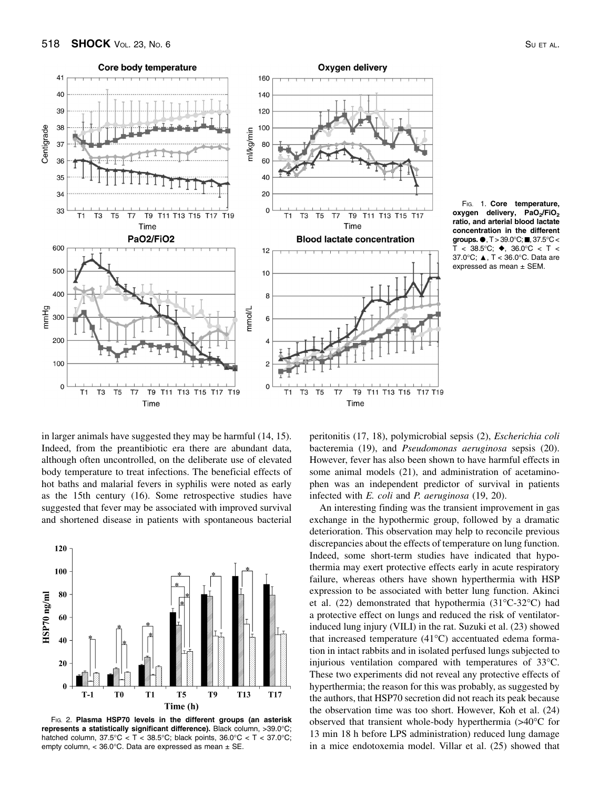



in larger animals have suggested they may be harmful (14, 15). Indeed, from the preantibiotic era there are abundant data, although often uncontrolled, on the deliberate use of elevated body temperature to treat infections. The beneficial effects of hot baths and malarial fevers in syphilis were noted as early as the 15th century (16). Some retrospective studies have suggested that fever may be associated with improved survival and shortened disease in patients with spontaneous bacterial



FIG. 2. Plasma HSP70 levels in the different groups (an asterisk represents a statistically significant difference). Black column, >39.0°C; hatched column,  $37.5^{\circ}C < T < 38.5^{\circ}C$ ; black points,  $36.0^{\circ}C < T < 37.0^{\circ}C$ ; empty column, < 36.0 $^{\circ}$ C. Data are expressed as mean  $\pm$  SE.

peritonitis (17, 18), polymicrobial sepsis (2), Escherichia coli bacteremia (19), and Pseudomonas aeruginosa sepsis (20). However, fever has also been shown to have harmful effects in some animal models (21), and administration of acetaminophen was an independent predictor of survival in patients infected with *E. coli* and *P. aeruginosa* (19, 20).

An interesting finding was the transient improvement in gas exchange in the hypothermic group, followed by a dramatic deterioration. This observation may help to reconcile previous discrepancies about the effects of temperature on lung function. Indeed, some short-term studies have indicated that hypothermia may exert protective effects early in acute respiratory failure, whereas others have shown hyperthermia with HSP expression to be associated with better lung function. Akinci et al. (22) demonstrated that hypothermia (31°C-32°C) had a protective effect on lungs and reduced the risk of ventilatorinduced lung injury (VILI) in the rat. Suzuki et al. (23) showed that increased temperature  $(41^{\circ}C)$  accentuated edema formation in intact rabbits and in isolated perfused lungs subjected to injurious ventilation compared with temperatures of 33°C. These two experiments did not reveal any protective effects of hyperthermia; the reason for this was probably, as suggested by the authors, that HSP70 secretion did not reach its peak because the observation time was too short. However, Koh et al. (24) observed that transient whole-body hyperthermia  $(>40^{\circ}C$  for 13 min 18 h before LPS administration) reduced lung damage in a mice endotoxemia model. Villar et al. (25) showed that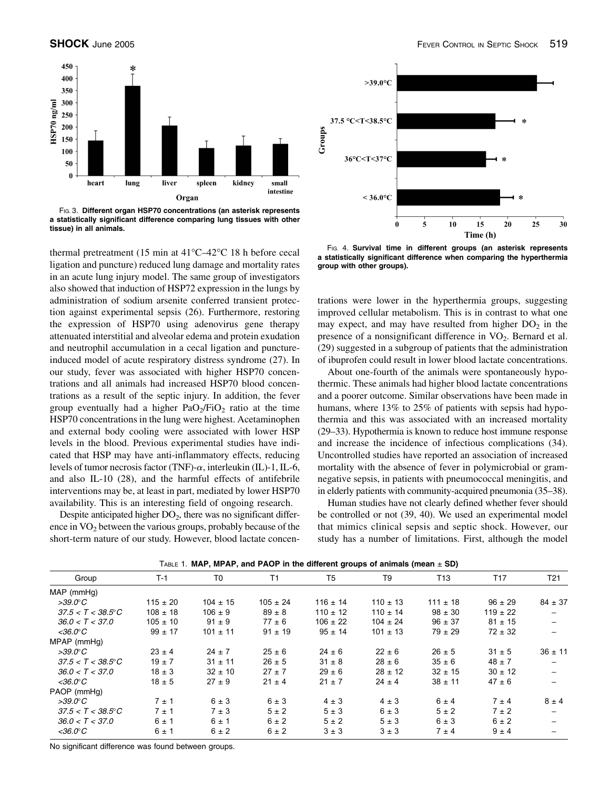

a statistically significant difference comparing lung tissues with other tissue) in all animals.

thermal pretreatment (15 min at  $41^{\circ}$ C–42 $^{\circ}$ C 18 h before cecal ligation and puncture) reduced lung damage and mortality rates in an acute lung injury model. The same group of investigators also showed that induction of HSP72 expression in the lungs by administration of sodium arsenite conferred transient protection against experimental sepsis (26). Furthermore, restoring the expression of HSP70 using adenovirus gene therapy attenuated interstitial and alveolar edema and protein exudation and neutrophil accumulation in a cecal ligation and punctureinduced model of acute respiratory distress syndrome (27). In our study, fever was associated with higher HSP70 concentrations and all animals had increased HSP70 blood concentrations as a result of the septic injury. In addition, the fever group eventually had a higher  $PaO<sub>2</sub>/FiO<sub>2</sub>$  ratio at the time HSP70 concentrations in the lung were highest. Acetaminophen and external body cooling were associated with lower HSP levels in the blood. Previous experimental studies have indicated that HSP may have anti-inflammatory effects, reducing levels of tumor necrosis factor (TNF)- $\alpha$ , interleukin (IL)-1, IL-6, and also IL-10 (28), and the harmful effects of antifebrile interventions may be, at least in part, mediated by lower HSP70 availability. This is an interesting field of ongoing research.

Despite anticipated higher  $DO<sub>2</sub>$ , there was no significant difference in VO<sub>2</sub> between the various groups, probably because of the short-term nature of our study. However, blood lactate concen-



FIG. 4. Survival time in different groups (an asterisk represents a statistically significant difference when comparing the hyperthermia group with other groups).

trations were lower in the hyperthermia groups, suggesting improved cellular metabolism. This is in contrast to what one may expect, and may have resulted from higher  $DO<sub>2</sub>$  in the presence of a nonsignificant difference in  $VO<sub>2</sub>$ . Bernard et al. (29) suggested in a subgroup of patients that the administration of ibuprofen could result in lower blood lactate concentrations.

About one-fourth of the animals were spontaneously hypothermic. These animals had higher blood lactate concentrations and a poorer outcome. Similar observations have been made in humans, where 13% to 25% of patients with sepsis had hypothermia and this was associated with an increased mortality (29–33). Hypothermia is known to reduce host immune response and increase the incidence of infectious complications (34). Uncontrolled studies have reported an association of increased mortality with the absence of fever in polymicrobial or gramnegative sepsis, in patients with pneumococcal meningitis, and in elderly patients with community-acquired pneumonia (35–38).

Human studies have not clearly defined whether fever should be controlled or not (39, 40). We used an experimental model that mimics clinical sepsis and septic shock. However, our study has a number of limitations. First, although the model

| Group                      | $T-1$        | T <sub>0</sub> | T1           | T <sub>5</sub> | T <sub>9</sub> | T <sub>13</sub> | T <sub>17</sub> | T <sub>21</sub> |
|----------------------------|--------------|----------------|--------------|----------------|----------------|-----------------|-----------------|-----------------|
| MAP (mmHq)                 |              |                |              |                |                |                 |                 |                 |
| $>39.0^\circ C$            | $115 \pm 20$ | $104 \pm 15$   | $105 \pm 24$ | $116 \pm 14$   | $110 \pm 13$   | $111 \pm 18$    | $96 \pm 29$     | $84 \pm 37$     |
| $37.5 < T < 38.5^{\circ}C$ | $108 \pm 18$ | $106 \pm 9$    | $89 \pm 8$   | $110 \pm 12$   | $110 \pm 14$   | $98 \pm 30$     | $119 \pm 22$    |                 |
| 36.0 < T < 37.0            | $105 \pm 10$ | $91 \pm 9$     | $77 \pm 6$   | $106 \pm 22$   | $104 \pm 24$   | $96 \pm 37$     | $81 \pm 15$     |                 |
| $<$ 36.0 $\degree$ C       | $99 \pm 17$  | $101 \pm 11$   | $91 \pm 19$  | $95 \pm 14$    | $101 \pm 13$   | $79 \pm 29$     | $72 \pm 32$     |                 |
| MPAP (mmHg)                |              |                |              |                |                |                 |                 |                 |
| $>39.0^\circ C$            | $23 \pm 4$   | $24 \pm 7$     | $25 \pm 6$   | $24 \pm 6$     | $22 \pm 6$     | $26 \pm 5$      | $31 \pm 5$      | $36 \pm 11$     |
| $37.5 < T < 38.5^{\circ}C$ | $19 \pm 7$   | $31 \pm 11$    | $26 \pm 5$   | $31 \pm 8$     | $28 \pm 6$     | $35 \pm 6$      | $48 \pm 7$      |                 |
| 36.0 < T < 37.0            | $18 \pm 3$   | $32 \pm 10$    | $27 \pm 7$   | $29 \pm 6$     | $28 \pm 12$    | $32 \pm 15$     | $30 \pm 12$     |                 |
| $<$ 36.0 $^{\circ}$ C      | $18 \pm 5$   | $27 \pm 9$     | $21 \pm 4$   | $21 \pm 7$     | $24 \pm 4$     | $38 \pm 11$     | $47 \pm 6$      |                 |
| PAOP (mmHg)                |              |                |              |                |                |                 |                 |                 |
| >39.0°C                    | $7 \pm 1$    | $6 \pm 3$      | $6 \pm 3$    | $4 \pm 3$      | $4 \pm 3$      | $6 \pm 4$       | $7 \pm 4$       | $8 \pm 4$       |
| $37.5 < T < 38.5^{\circ}C$ | $7 \pm 1$    | $7 \pm 3$      | $5 \pm 2$    | $5 \pm 3$      | $6 \pm 3$      | $5 \pm 2$       | $7 \pm 2$       |                 |
| 36.0 < T < 37.0            | $6 \pm 1$    | $6 \pm 1$      | $6 \pm 2$    | $5 \pm 2$      | $5 \pm 3$      | $6 \pm 3$       | $6 \pm 2$       |                 |
| $<$ 36.0 $\degree$ C       | $6 \pm 1$    | $6 \pm 2$      | $6 \pm 2$    | $3 \pm 3$      | $3 \pm 3$      | $7 \pm 4$       | $9 \pm 4$       |                 |

 $T_{AB|E}$  1. MAP, MPAP, and PAOP in the different groups of animals (mean  $\pm$  SD)

No significant difference was found between groups.